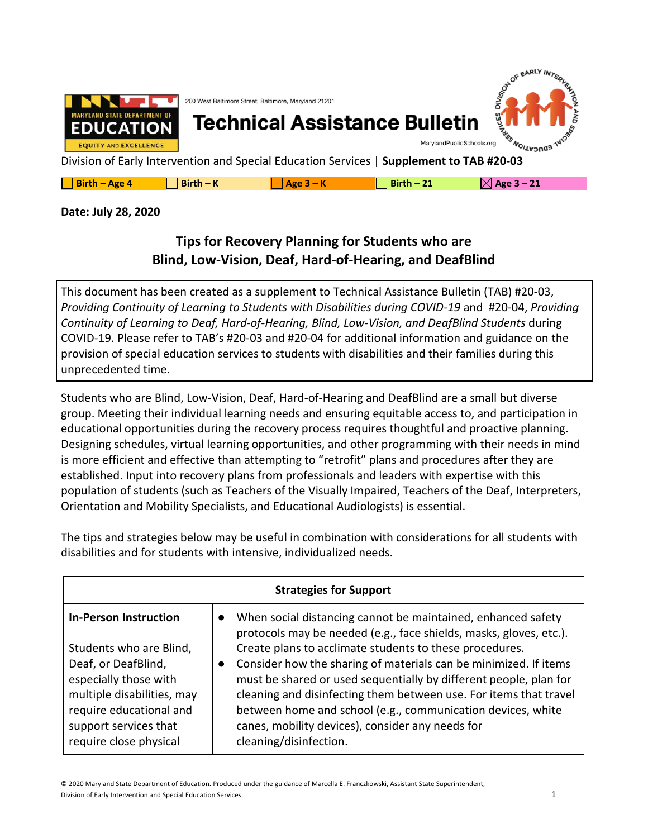

| $\boxtimes$ Age 3 – 21<br>$\Box$ Birth – Age 4<br>$Birth - K$<br>$Birth-21$<br>$ Age 3 - K$ |  |
|---------------------------------------------------------------------------------------------|--|
|---------------------------------------------------------------------------------------------|--|

## **Date: July 28, 2020**

## **Tips for Recovery Planning for Students who are Blind, Low-Vision, Deaf, Hard-of-Hearing, and DeafBlind**

This document has been created as a supplement to Technical Assistance Bulletin (TAB) #20-03, *Providing Continuity of Learning to Students with Disabilities during COVID-19* and #20-04, *Providing Continuity of Learning to Deaf, Hard-of-Hearing, Blind, Low-Vision, and DeafBlind Students* during COVID-19. Please refer to TAB's #20-03 and #20-04 for additional information and guidance on the provision of special education services to students with disabilities and their families during this unprecedented time.

Students who are Blind, Low-Vision, Deaf, Hard-of-Hearing and DeafBlind are a small but diverse group. Meeting their individual learning needs and ensuring equitable access to, and participation in educational opportunities during the recovery process requires thoughtful and proactive planning. Designing schedules, virtual learning opportunities, and other programming with their needs in mind is more efficient and effective than attempting to "retrofit" plans and procedures after they are established. Input into recovery plans from professionals and leaders with expertise with this population of students (such as Teachers of the Visually Impaired, Teachers of the Deaf, Interpreters, Orientation and Mobility Specialists, and Educational Audiologists) is essential.

**Strategies for Support In-Person Instruction** Students who are Blind, Deaf, or DeafBlind, especially those with multiple disabilities, may require educational and support services that require close physical ● When social distancing cannot be maintained, enhanced safety protocols may be needed (e.g., face shields, masks, gloves, etc.). Create plans to acclimate students to these procedures. ● Consider how the sharing of materials can be minimized. If items must be shared or used sequentially by different people, plan for cleaning and disinfecting them between use. For items that travel between home and school (e.g., communication devices, white canes, mobility devices), consider any needs for cleaning/disinfection.

The tips and strategies below may be useful in combination with considerations for all students with disabilities and for students with intensive, individualized needs.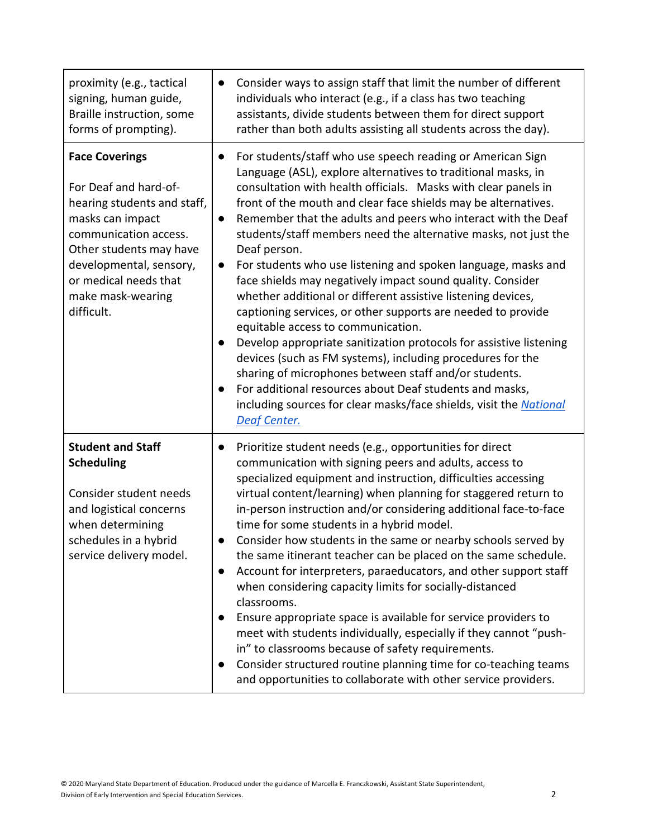| proximity (e.g., tactical<br>signing, human guide,<br>Braille instruction, some<br>forms of prompting).                                                                                                                                      | Consider ways to assign staff that limit the number of different<br>$\bullet$<br>individuals who interact (e.g., if a class has two teaching<br>assistants, divide students between them for direct support<br>rather than both adults assisting all students across the day).                                                                                                                                                                                                                                                                                                                                                                                                                                                                                                                                                                                                                                                                                                                                                                                                                   |
|----------------------------------------------------------------------------------------------------------------------------------------------------------------------------------------------------------------------------------------------|--------------------------------------------------------------------------------------------------------------------------------------------------------------------------------------------------------------------------------------------------------------------------------------------------------------------------------------------------------------------------------------------------------------------------------------------------------------------------------------------------------------------------------------------------------------------------------------------------------------------------------------------------------------------------------------------------------------------------------------------------------------------------------------------------------------------------------------------------------------------------------------------------------------------------------------------------------------------------------------------------------------------------------------------------------------------------------------------------|
| <b>Face Coverings</b><br>For Deaf and hard-of-<br>hearing students and staff,<br>masks can impact<br>communication access.<br>Other students may have<br>developmental, sensory,<br>or medical needs that<br>make mask-wearing<br>difficult. | For students/staff who use speech reading or American Sign<br>Language (ASL), explore alternatives to traditional masks, in<br>consultation with health officials. Masks with clear panels in<br>front of the mouth and clear face shields may be alternatives.<br>Remember that the adults and peers who interact with the Deaf<br>$\bullet$<br>students/staff members need the alternative masks, not just the<br>Deaf person.<br>For students who use listening and spoken language, masks and<br>$\bullet$<br>face shields may negatively impact sound quality. Consider<br>whether additional or different assistive listening devices,<br>captioning services, or other supports are needed to provide<br>equitable access to communication.<br>Develop appropriate sanitization protocols for assistive listening<br>devices (such as FM systems), including procedures for the<br>sharing of microphones between staff and/or students.<br>For additional resources about Deaf students and masks,<br>including sources for clear masks/face shields, visit the National<br>Deaf Center. |
| <b>Student and Staff</b><br><b>Scheduling</b><br>Consider student needs<br>and logistical concerns<br>when determining<br>schedules in a hybrid<br>service delivery model.                                                                   | Prioritize student needs (e.g., opportunities for direct<br>communication with signing peers and adults, access to<br>specialized equipment and instruction, difficulties accessing<br>virtual content/learning) when planning for staggered return to<br>in-person instruction and/or considering additional face-to-face<br>time for some students in a hybrid model.<br>Consider how students in the same or nearby schools served by<br>the same itinerant teacher can be placed on the same schedule.<br>Account for interpreters, paraeducators, and other support staff<br>$\bullet$<br>when considering capacity limits for socially-distanced<br>classrooms.<br>Ensure appropriate space is available for service providers to<br>meet with students individually, especially if they cannot "push-<br>in" to classrooms because of safety requirements.<br>Consider structured routine planning time for co-teaching teams<br>and opportunities to collaborate with other service providers.                                                                                           |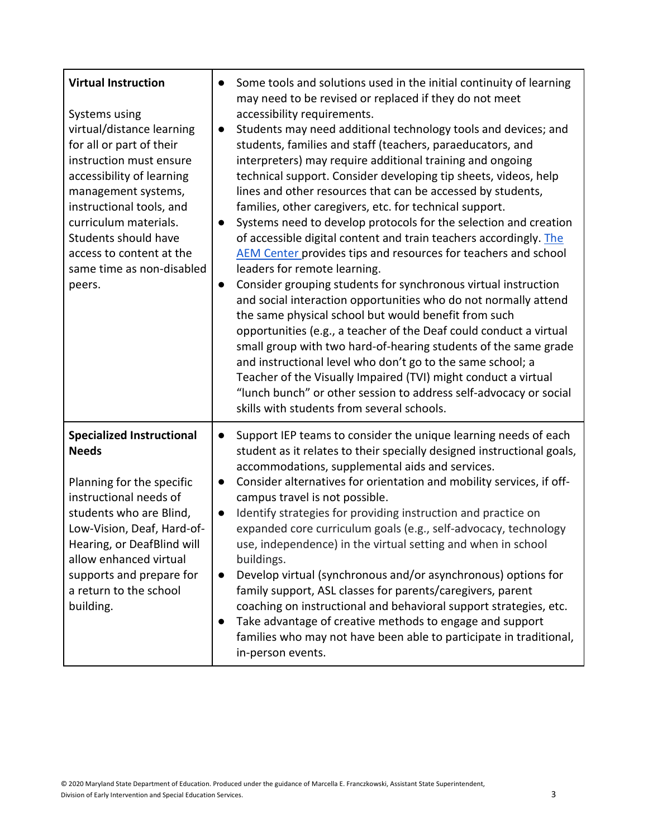| <b>Virtual Instruction</b><br>Systems using<br>virtual/distance learning<br>for all or part of their<br>instruction must ensure<br>accessibility of learning<br>management systems,<br>instructional tools, and<br>curriculum materials.<br>Students should have<br>access to content at the<br>same time as non-disabled<br>peers. | $\bullet$<br>$\bullet$<br>$\bullet$ | Some tools and solutions used in the initial continuity of learning<br>may need to be revised or replaced if they do not meet<br>accessibility requirements.<br>Students may need additional technology tools and devices; and<br>students, families and staff (teachers, paraeducators, and<br>interpreters) may require additional training and ongoing<br>technical support. Consider developing tip sheets, videos, help<br>lines and other resources that can be accessed by students,<br>families, other caregivers, etc. for technical support.<br>Systems need to develop protocols for the selection and creation<br>of accessible digital content and train teachers accordingly. The<br>AEM Center provides tips and resources for teachers and school<br>leaders for remote learning.<br>Consider grouping students for synchronous virtual instruction<br>and social interaction opportunities who do not normally attend<br>the same physical school but would benefit from such<br>opportunities (e.g., a teacher of the Deaf could conduct a virtual<br>small group with two hard-of-hearing students of the same grade<br>and instructional level who don't go to the same school; a<br>Teacher of the Visually Impaired (TVI) might conduct a virtual<br>"lunch bunch" or other session to address self-advocacy or social<br>skills with students from several schools. |
|-------------------------------------------------------------------------------------------------------------------------------------------------------------------------------------------------------------------------------------------------------------------------------------------------------------------------------------|-------------------------------------|--------------------------------------------------------------------------------------------------------------------------------------------------------------------------------------------------------------------------------------------------------------------------------------------------------------------------------------------------------------------------------------------------------------------------------------------------------------------------------------------------------------------------------------------------------------------------------------------------------------------------------------------------------------------------------------------------------------------------------------------------------------------------------------------------------------------------------------------------------------------------------------------------------------------------------------------------------------------------------------------------------------------------------------------------------------------------------------------------------------------------------------------------------------------------------------------------------------------------------------------------------------------------------------------------------------------------------------------------------------------------------------------|
| <b>Specialized Instructional</b><br><b>Needs</b><br>Planning for the specific<br>instructional needs of<br>students who are Blind,<br>Low-Vision, Deaf, Hard-of-<br>Hearing, or DeafBlind will<br>allow enhanced virtual<br>supports and prepare for<br>a return to the school<br>building.                                         | $\bullet$<br>$\bullet$<br>$\bullet$ | Support IEP teams to consider the unique learning needs of each<br>student as it relates to their specially designed instructional goals,<br>accommodations, supplemental aids and services.<br>Consider alternatives for orientation and mobility services, if off-<br>campus travel is not possible.<br>Identify strategies for providing instruction and practice on<br>expanded core curriculum goals (e.g., self-advocacy, technology<br>use, independence) in the virtual setting and when in school<br>buildings.<br>Develop virtual (synchronous and/or asynchronous) options for<br>family support, ASL classes for parents/caregivers, parent<br>coaching on instructional and behavioral support strategies, etc.<br>Take advantage of creative methods to engage and support<br>families who may not have been able to participate in traditional,<br>in-person events.                                                                                                                                                                                                                                                                                                                                                                                                                                                                                                        |